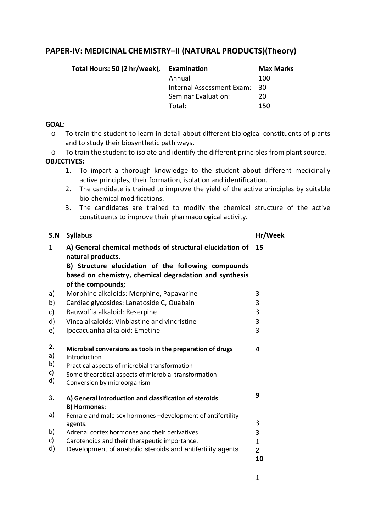# **PAPER-IV: MEDICINAL CHEMISTRY–II (NATURAL PRODUCTS)(Theory)**

| Examination               | <b>Max Marks</b> |
|---------------------------|------------------|
| Annual                    | 100              |
| Internal Assessment Exam: | - 30             |
| Seminar Evaluation:       | 20               |
| Total:                    | 150              |
|                           |                  |

#### **GOAL:**

- o To train the student to learn in detail about different biological constituents of plants and to study their biosynthetic path ways.
- o To train the student to isolate and identify the different principles from plant source.

#### **OBJECTIVES:**

- 1. To impart a thorough knowledge to the student about different medicinally active principles, their formation, isolation and identification.
- 2. The candidate is trained to improve the yield of the active principles by suitable bio-chemical modifications.
- 3. The candidates are trained to modify the chemical structure of the active constituents to improve their pharmacological activity.

| S.N                        | <b>Syllabus</b>                                                                                                                                                                                                     | Hr/Week        |
|----------------------------|---------------------------------------------------------------------------------------------------------------------------------------------------------------------------------------------------------------------|----------------|
| 1                          | A) General chemical methods of structural elucidation of<br>natural products.<br>B) Structure elucidation of the following compounds<br>based on chemistry, chemical degradation and synthesis<br>of the compounds; | 15             |
| a)                         | Morphine alkaloids: Morphine, Papavarine                                                                                                                                                                            | 3              |
| b)                         | Cardiac glycosides: Lanatoside C, Ouabain                                                                                                                                                                           | 3              |
| c)                         | Rauwolfia alkaloid: Reserpine                                                                                                                                                                                       | 3              |
| d)                         | Vinca alkaloids: Vinblastine and vincristine                                                                                                                                                                        | 3              |
| e)                         | Ipecacuanha alkaloid: Emetine                                                                                                                                                                                       | 3              |
| 2.<br>a)<br>b)<br>c)<br>d) | Microbial conversions as tools in the preparation of drugs<br>Introduction<br>Practical aspects of microbial transformation<br>Some theoretical aspects of microbial transformation<br>Conversion by microorganism  | 4              |
| 3.                         | A) General introduction and classification of steroids<br><b>B) Hormones:</b>                                                                                                                                       | 9              |
| a)                         | Female and male sex hormones -development of antifertility<br>agents.                                                                                                                                               | 3              |
| b)                         | Adrenal cortex hormones and their derivatives                                                                                                                                                                       | 3              |
| c)                         | Carotenoids and their therapeutic importance.                                                                                                                                                                       | $\mathbf{1}$   |
| d)                         | Development of anabolic steroids and antifertility agents                                                                                                                                                           | $\overline{2}$ |
|                            |                                                                                                                                                                                                                     | 10             |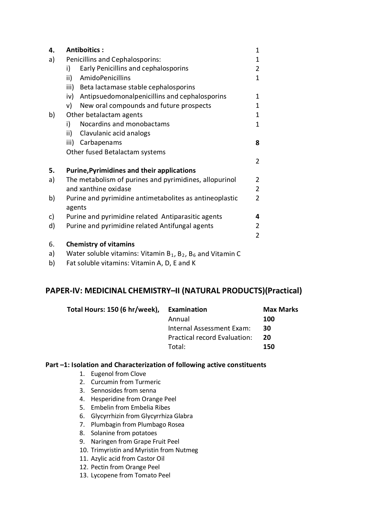| 4.  | <b>Antiboitics:</b>                                                                          | 1              |
|-----|----------------------------------------------------------------------------------------------|----------------|
| a)  | Penicillins and Cephalosporins:                                                              | 1              |
|     | Early Penicillins and cephalosporins<br>i)                                                   | $\overline{2}$ |
|     | <b>AmidoPenicillins</b><br>ii)                                                               | 1              |
|     | Beta lactamase stable cephalosporins<br>iii)                                                 |                |
|     | Antipsuedomonalpenicillins and cephalosporins<br>iv)                                         | 1              |
|     | New oral compounds and future prospects<br>v)                                                | 1              |
| b)  | Other betalactam agents                                                                      | 1              |
|     | Nocardins and monobactams<br>i)                                                              | 1              |
|     | ii)<br>Clavulanic acid analogs                                                               |                |
|     | Carbapenams<br>iii)                                                                          | 8              |
|     | Other fused Betalactam systems                                                               |                |
|     |                                                                                              | 2              |
| 5.  | <b>Purine, Pyrimidines and their applications</b>                                            |                |
| a)  | The metabolism of purines and pyrimidines, allopurinol                                       | 2              |
|     | and xanthine oxidase                                                                         | $\overline{2}$ |
| b)  | Purine and pyrimidine antimetabolites as antineoplastic                                      | $\overline{2}$ |
|     | agents                                                                                       |                |
| c)  | Purine and pyrimidine related Antiparasitic agents                                           | 4              |
| d)  | Purine and pyrimidine related Antifungal agents                                              | 2              |
|     |                                                                                              | 2              |
| 6.  | <b>Chemistry of vitamins</b>                                                                 |                |
| ~ \ | $M_{\text{other}}$ columb $\omega$ it amine: $M_{\text{other}}$ D D and $M_{\text{other}}$ C |                |

- a) Water soluble vitamins: Vitamin  $B_1$ ,  $B_2$ ,  $B_6$  and Vitamin C
- b) Fat soluble vitamins: Vitamin A, D, E and K

# **PAPER-IV: MEDICINAL CHEMISTRY–II (NATURAL PRODUCTS)(Practical)**

| Total Hours: 150 (6 hr/week), | Examination                  | <b>Max Marks</b> |
|-------------------------------|------------------------------|------------------|
|                               | Annual                       | 100              |
|                               | Internal Assessment Exam:    | 30               |
|                               | Practical record Evaluation: | 20               |
|                               | Total:                       | 150              |

#### **Part –1: Isolation and Characterization of following active constituents**

- 1. Eugenol from Clove
- 2. Curcumin from Turmeric
- 3. Sennosides from senna
- 4. Hesperidine from Orange Peel
- 5. Embelin from Embelia Ribes
- 6. Glycyrrhizin from Glycyrrhiza Glabra
- 7. Plumbagin from Plumbago Rosea
- 8. Solanine from potatoes
- 9. Naringen from Grape Fruit Peel
- 10. Trimyristin and Myristin from Nutmeg
- 11. Azylic acid from Castor Oil
- 12. Pectin from Orange Peel
- 13. Lycopene from Tomato Peel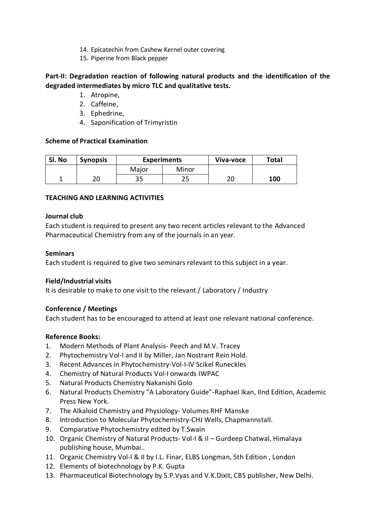- 14. Epicatechin from Cashew Kernel outer covering
- 15. Piperine from Black pepper

# **Part-II: Degradation reaction of following natural products and the identification of the degraded intermediates by micro TLC and qualitative tests.**

- 1. Atropine,
- 2. Caffeine,
- 3. Ephedrine,
- 4. Saponification of Trimyristin

## **Scheme of Practical Examination**

| Sl. No | <b>Synopsis</b> | <b>Experiments</b> |       | Viva-voce | <b>Total</b> |
|--------|-----------------|--------------------|-------|-----------|--------------|
|        |                 | Major              | Minor |           |              |
|        | חר              | 35                 |       | าเ<br>∠∪  | 100          |

## **TEACHING AND LEARNING ACTIVITIES**

## **Journal club**

Each student is required to present any two recent articles relevant to the Advanced Pharmaceutical Chemistry from any of the journals in an year.

## **Seminars**

Each student is required to give two seminars relevant to this subject in a year.

## **Field/Industrial visits**

It is desirable to make to one visit to the relevant / Laboratory / Industry

## **Conference / Meetings**

Each student has to be encouraged to attend at least one relevant national conference.

## **Reference Books:**

- 1. Modern Methods of Plant Analysis- Peech and M.V. Tracey
- 2. Phytochemistry Vol-I and II by Miller, Jan Nostrant Rein Hold.
- 3. Recent Advances in Phytochemistry-Vol-I-IV Scikel Runeckles
- 4. Chemistry of Natural Products Vol-I onwards IWPAC
- 5. Natural Products Chemistry Nakanishi Golo
- 6. Natural Products Chemistry "A Laboratory Guide"-Raphael Ikan, IInd Edition, Academic Press New York.
- 7. The Alkaloid Chemistry and Physiology- Volumes RHF Manske
- 8. Introduction to Molecular Phytochemistry-CHJ Wells, Chapmannstall.
- 9. Comparative Phytochemistry edited by T.Swain
- 10. Organic Chemistry of Natural Products- Vol-I & II Gurdeep Chatwal, Himalaya publishing house, Mumbai..
- 11. Organic Chemistry Vol-I & II by I.L. Finar, ELBS Longman, 5th Edition , London
- 12. Elements of biotechnology by P.K. Gupta
- 13. Pharmaceutical Biotechnology by S.P.Vyas and V.K.Dixit, CBS publisher, New Delhi.